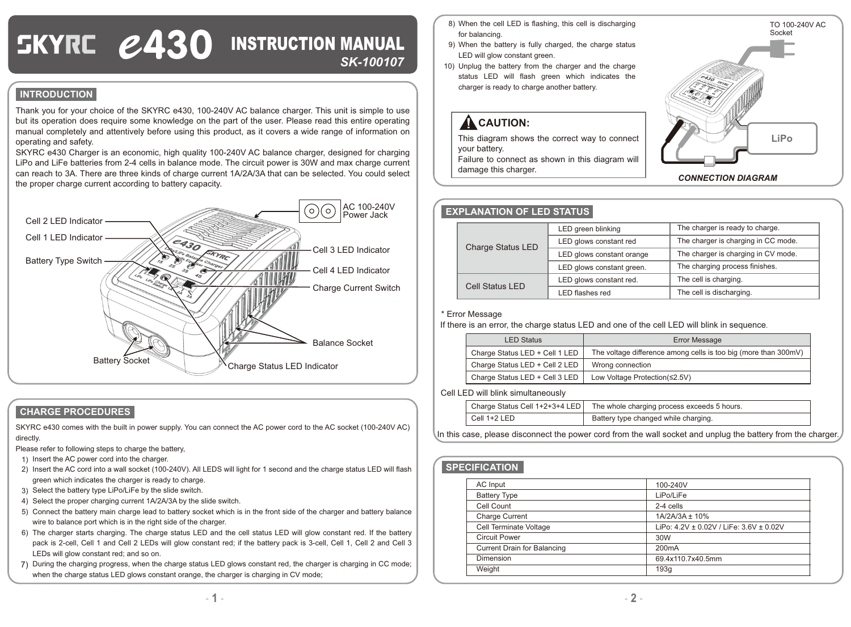# SKYRE *2430* INSTRUCTION MANUAL *SK-100107*

### **INTRODUCTION**

Thank you for your choice of the SKYRC e430, 100-240V AC balance charger. This unit is simple to use but its operation does require some knowledge on the part of the user. Please read this entire operating manual completely and attentively before using this product, as it covers a wide range of information on operating and safety.

SKYRC e430 Charger is an economic, high quality 100-240V AC balance charger, designed for charging LiPo and LiFe batteries from 2-4 cells in balance mode. The circuit power is 30W and max charge current can reach to 3A. There are three kinds of charge current 1A/2A/3A that can be selected. You could select the proper charge current according to battery capacity.



#### **CHARGE PROCEDURES**

SKYRC e430 comes with the built in power supply. You can connect the AC power cord to the AC socket (100-240V AC) directly.

Please refer to following steps to charge the battery,

- 1) Insert the AC power cord into the charger.
- 2) Insert the AC cord into a wall socket (100-240V). All LEDS will light for 1 second and the charge status LED will flash green which indicates the charger is ready to charge.
- 3) Select the battery type LiPo/LiFe by the slide switch.
- 4) Select the proper charging current 1A/2A/3A by the slide switch.
- 5) Connect the battery main charge lead to battery socket which is in the front side of the charger and battery balance wire to balance port which is in the right side of the charger.
- 6) The charger starts charging. The charge status LED and the cell status LED will glow constant red. If the battery pack is 2-cell, Cell 1 and Cell 2 LEDs will glow constant red; if the battery pack is 3-cell, Cell 1, Cell 2 and Cell 3 LEDs will glow constant red; and so on.
- 7) During the charging progress, when the charge status LED glows constant red, the charger is charging in CC mode; when the charge status LED glows constant orange, the charger is charging in CV mode;
- When the cell LED is flashing, this cell is discharging 8) for balancing.
- When the battery is fully charged, the charge status 9) LED will glow constant green.
- 10) Unplug the battery from the charger and the charge status LED will flash green which indicates the charger is ready to charge another battery.

## **A** CAUTION:

This diagram shows the correct way to connect your battery.

Failure to connect as shown in this diagram will damage this charger.



#### **EXPLANATION OF LED STATUS**

| <b>Charge Status LED</b> | LED green blinking        | The charger is ready to charge.     |
|--------------------------|---------------------------|-------------------------------------|
|                          | LED glows constant red    | The charger is charging in CC mode. |
|                          | LED glows constant orange | The charger is charging in CV mode. |
|                          | LED glows constant green. | The charging process finishes.      |
| Cell Status LED          | LED glows constant red.   | The cell is charging.               |
|                          | LED flashes red           | The cell is discharging.            |

#### \* Error Message

If there is an error, the charge status LED and one of the cell LED will blink in sequence.

| <b>LED Status</b>              | Error Message                                                   |  |
|--------------------------------|-----------------------------------------------------------------|--|
| Charge Status LED + Cell 1 LED | The voltage difference among cells is too big (more than 300mV) |  |
| Charge Status LED + Cell 2 LED | Wrong connection                                                |  |
| Charge Status LED + Cell 3 LED | Low Voltage Protection(≤2.5V)                                   |  |

#### Cell LED will blink simultaneously

|              | Charge Status Cell 1+2+3+4 LED   The whole charging process exceeds 5 hours. |
|--------------|------------------------------------------------------------------------------|
| Cell 1+2 LED | Battery type changed while charging.                                         |

In this case, please disconnect the power cord from the wall socket and unplug the battery from the charger.

#### **SPECIFICATION**

| AC Input                           | 100-240V                                |
|------------------------------------|-----------------------------------------|
| <b>Battery Type</b>                | LiPo/LiFe                               |
| Cell Count                         | 2-4 cells                               |
| <b>Charge Current</b>              | 1A/2A/3A ± 10%                          |
| Cell Terminate Voltage             | LiPo: 4.2V ± 0.02V / LiFe: 3.6V ± 0.02V |
| <b>Circuit Power</b>               | 30W                                     |
| <b>Current Drain for Balancing</b> | 200 <sub>m</sub> A                      |
| Dimension                          | 69.4x110.7x40.5mm                       |
| Weight                             | 193q                                    |